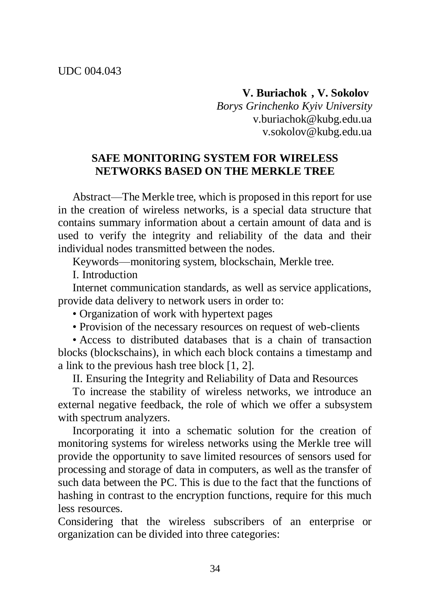**V. Buriachok , V. Sokolov**

*Borys Grinchenko Kyiv University* v.buriachok@kubg.edu.ua v.sokolov@kubg.edu.ua

## **SAFE MONITORING SYSTEM FOR WIRELESS NETWORKS BASED ON THE MERKLE TREE**

Abstract—The Merkle tree, which is proposed in this report for use in the creation of wireless networks, is a special data structure that contains summary information about a certain amount of data and is used to verify the integrity and reliability of the data and their individual nodes transmitted between the nodes.

Keywords—monitoring system, blockschain, Merkle tree.

I. Introduction

Internet communication standards, as well as service applications, provide data delivery to network users in order to:

- Organization of work with hypertext pages
- Provision of the necessary resources on request of web-clients

• Access to distributed databases that is a chain of transaction blocks (blockschains), in which each block contains a timestamp and a link to the previous hash tree block [1, 2].

II. Ensuring the Integrity and Reliability of Data and Resources

To increase the stability of wireless networks, we introduce an external negative feedback, the role of which we offer a subsystem with spectrum analyzers.

Incorporating it into a schematic solution for the creation of monitoring systems for wireless networks using the Merkle tree will provide the opportunity to save limited resources of sensors used for processing and storage of data in computers, as well as the transfer of such data between the PC. This is due to the fact that the functions of hashing in contrast to the encryption functions, require for this much less resources.

Considering that the wireless subscribers of an enterprise or organization can be divided into three categories: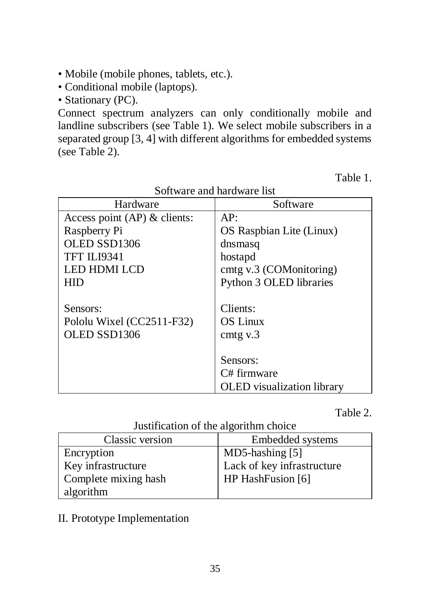- Mobile (mobile phones, tablets, etc.).
- Conditional mobile (laptops).
- Stationary (PC).

Connect spectrum analyzers can only conditionally mobile and landline subscribers (see Table 1). We select mobile subscribers in a separated group [3, 4] with different algorithms for embedded systems (see Table 2).

Table 1.

| Hardware                      | Software                          |
|-------------------------------|-----------------------------------|
| Access point $AP)$ & clients: | AP:                               |
| Raspberry Pi                  | OS Raspbian Lite (Linux)          |
| OLED SSD1306                  | dnsmasq                           |
| TFT ILI9341                   | hostapd                           |
| <b>LED HDMI LCD</b>           | cmtg v.3 (COMonitoring)           |
| HID                           | Python 3 OLED libraries           |
|                               |                                   |
| Sensors:                      | Clients:                          |
| Pololu Wixel (CC2511-F32)     | <b>OS Linux</b>                   |
| OLED SSD1306                  | cmtg $v.3$                        |
|                               |                                   |
|                               | Sensors:                          |
|                               | C# firmware                       |
|                               | <b>OLED</b> visualization library |

Software and hardware list

Table 2.

Justification of the algorithm choice

| Classic version      | Embedded systems           |
|----------------------|----------------------------|
| Encryption           | $MD5$ -hashing [5]         |
| Key infrastructure   | Lack of key infrastructure |
| Complete mixing hash | HP HashFusion [6]          |
| algorithm            |                            |

II. Prototype Implementation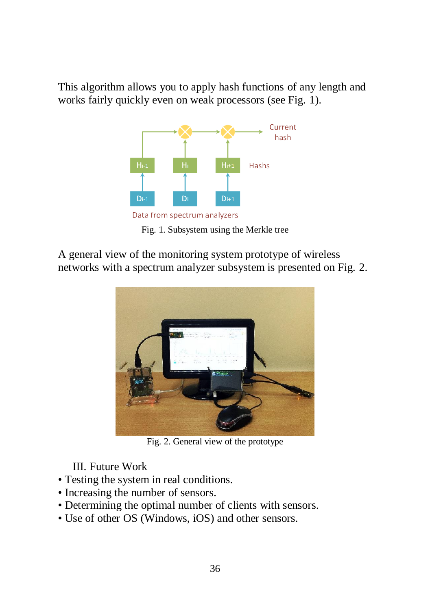This algorithm allows you to apply hash functions of any length and works fairly quickly even on weak processors (see Fig. 1).



Fig. 1. Subsystem using the Merkle tree

A general view of the monitoring system prototype of wireless networks with a spectrum analyzer subsystem is presented on Fig. 2.



Fig. 2. General view of the prototype

III. Future Work

- Testing the system in real conditions.
- Increasing the number of sensors.
- Determining the optimal number of clients with sensors.
- Use of other OS (Windows, iOS) and other sensors.